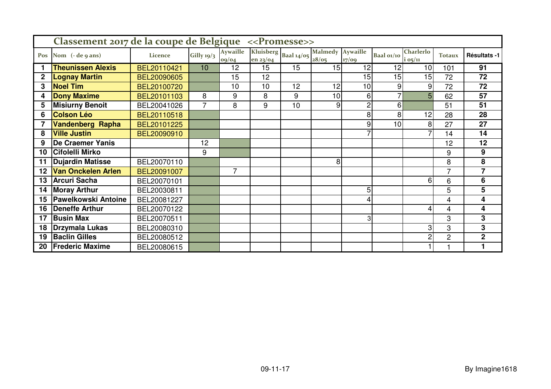|              | Classement 2017 de la coupe de Belgique << Promesse>> |             |              |                          |                                  |    |                           |                |                          |                               |                |                         |
|--------------|-------------------------------------------------------|-------------|--------------|--------------------------|----------------------------------|----|---------------------------|----------------|--------------------------|-------------------------------|----------------|-------------------------|
| Pos          | Nom (- de 9 ans)                                      | Licence     | Gilly $19/3$ | <b>Aywaille</b><br>09/04 | Kluisberg Baal 14/05<br>en 23/04 |    | Malmedy Aywaille<br>28/05 | 17/09          | Baal 01/10               | <b>Charlerlo</b><br>$i$ 05/11 | <b>Totaux</b>  | Résultats -1            |
|              | <b>Theunissen Alexis</b>                              | BEL20110421 | 10           | 12                       | 15                               | 15 | 15                        | 12             | 12                       | 10                            | 101            | 91                      |
| $\mathbf{2}$ | <b>Lognay Martin</b>                                  | BEL20090605 |              | 15                       | 12                               |    |                           | 15             | 15                       | 15                            | 72             | 72                      |
| 3            | <b>Noel Tim</b>                                       | BEL20100720 |              | 10                       | 10                               | 12 | 12                        | 10             | 9                        | 9                             | 72             | 72                      |
| 4            | <b>Dony Maxime</b>                                    | BEL20101103 | 8            | 9                        | 8                                | 9  | 10                        | 6              | $\overline{\phantom{0}}$ | 5                             | 62             | 57                      |
| 5            | <b>Misiurny Benoit</b>                                | BEL20041026 | 7            | 8                        | 9                                | 10 | 9                         | $\overline{c}$ | 6                        |                               | 51             | 51                      |
| 6            | <b>Colson Léo</b>                                     | BEL20110518 |              |                          |                                  |    |                           | 8              | 8                        | 12                            | 28             | 28                      |
|              | <b>Vandenberg Rapha</b>                               | BEL20101225 |              |                          |                                  |    |                           | 9              | 10                       | 8                             | 27             | 27                      |
| 8            | <b>Ville Justin</b>                                   | BEL20090910 |              |                          |                                  |    |                           | 7              |                          |                               | 14             | 14                      |
| 9            | <b>De Craemer Yanis</b>                               |             | 12           |                          |                                  |    |                           |                |                          |                               | 12             | 12                      |
| 10           | Cifolelli Mirko                                       |             | 9            |                          |                                  |    |                           |                |                          |                               | 9              | 9                       |
| 11           | <b>Dujardin Matisse</b>                               | BEL20070110 |              |                          |                                  |    | 8                         |                |                          |                               | 8              | 8                       |
| 12           | <b>Van Onckelen Arlen</b>                             | BEL20091007 |              | $\overline{7}$           |                                  |    |                           |                |                          |                               | 7              | $\overline{7}$          |
| 13           | <b>Arcuri Sacha</b>                                   | BEL20070101 |              |                          |                                  |    |                           |                |                          | 6                             | 6              | 6                       |
| 14           | <b>Moray Arthur</b>                                   | BEL20030811 |              |                          |                                  |    |                           | 5              |                          |                               | 5              | $5\phantom{.0}$         |
| 15           | <b>Pawelkowski Antoine</b>                            | BEL20081227 |              |                          |                                  |    |                           | 4              |                          |                               | 4              | $\overline{\mathbf{4}}$ |
| 16           | <b>Deneffe Arthur</b>                                 | BEL20070122 |              |                          |                                  |    |                           |                |                          | 4                             | 4              | 4                       |
| 17           | <b>Busin Max</b>                                      | BEL20070511 |              |                          |                                  |    |                           | 3              |                          |                               | 3              | 3                       |
| 18           | Drzymala Lukas                                        | BEL20080310 |              |                          |                                  |    |                           |                |                          | 3                             | 3              | 3                       |
| 19           | <b>Baclin Gilles</b>                                  | BEL20080512 |              |                          |                                  |    |                           |                |                          | 2                             | $\overline{2}$ | $\overline{2}$          |
| 20           | <b>Frederic Maxime</b>                                | BEL20080615 |              |                          |                                  |    |                           |                |                          |                               |                |                         |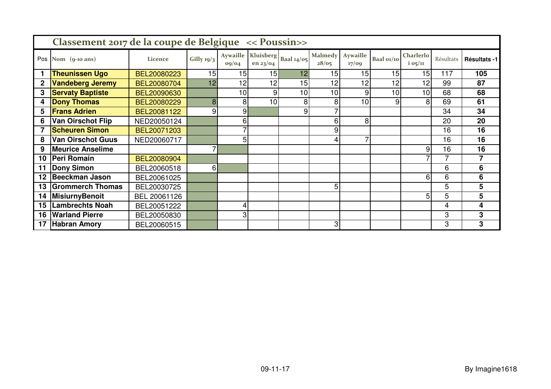|     | Classement 2017 de la coupe de Belgique << Poussin>> |              |                          |                          |          |                        |                         |                          |                 |                        |           |                |  |  |
|-----|------------------------------------------------------|--------------|--------------------------|--------------------------|----------|------------------------|-------------------------|--------------------------|-----------------|------------------------|-----------|----------------|--|--|
| Pos | Nom $(q$ -10 ans)                                    | Licence      | Gilly $19/3$             | <b>Aywaille</b><br>oq/o4 | en 23/04 | Kluisberg   Baal 14/05 | <b>Malmedy</b><br>28/05 | <b>Aywaille</b><br>17/09 | Baal 01/10      | Charlerlo<br>$i$ 05/11 | Résultats | Résultats -1   |  |  |
|     | <b>Theunissen Ugo</b>                                | BEL20080223  | 15                       | 15                       | 15       | 12                     | 15                      | 15                       | 15              | 15                     | 117       | 105            |  |  |
| 2   | <b>Vandeberg Jeremy</b>                              | BEL20080704  | 12                       | 12                       | 12       | 15                     | 12                      | 12                       | 12              | 12                     | 99        | 87             |  |  |
| 3   | <b>Servaty Baptiste</b>                              | BEL20090630  |                          | 10                       | 9        | 10                     | 10                      | 9                        | 10 <sub>l</sub> | 10                     | 68        | 68             |  |  |
| 4   | <b>Dony Thomas</b>                                   | BEL20080229  | 8                        | 8                        | 10       | 8                      | 8                       | 10                       | 9               | 8                      | 69        | 61             |  |  |
| 5   | <b>Frans Adrien</b>                                  | BEL20081122  | 9                        | 9                        |          | 9                      | $\overline{7}$          |                          |                 |                        | 34        | 34             |  |  |
| 6   | <b>Van Oirschot Flip</b>                             | NED20050124  |                          | 6                        |          |                        | 6                       | 8                        |                 |                        | 20        | 20             |  |  |
|     | <b>Scheuren Simon</b>                                | BEL20071203  |                          |                          |          |                        | 9                       |                          |                 |                        | 16        | 16             |  |  |
| 8   | <b>Van Oirschot Guus</b>                             | NED20060717  |                          | 5                        |          |                        | 4                       | 7                        |                 |                        | 16        | 16             |  |  |
| 9   | <b>Meurice Anselime</b>                              |              | $\overline{\phantom{0}}$ |                          |          |                        |                         |                          |                 | 9                      | 16        | 16             |  |  |
| 10  | Peri Romain                                          | BEL20080904  |                          |                          |          |                        |                         |                          |                 |                        | 7         | $\overline{7}$ |  |  |
| 11  | <b>Dony Simon</b>                                    | BEL20060518  | 6 <sup>1</sup>           |                          |          |                        |                         |                          |                 |                        | 6         | 6              |  |  |
| 12  | <b>Beeckman Jason</b>                                | BEL20061025  |                          |                          |          |                        |                         |                          |                 | 6                      | 6         | 6              |  |  |
| 13  | <b>Grommerch Thomas</b>                              | BEL20030725  |                          |                          |          |                        | 5 <sub>1</sub>          |                          |                 |                        | 5         | 5              |  |  |
| 14  | MisiurnyBenoit                                       | BEL 20061126 |                          |                          |          |                        |                         |                          |                 | 5                      | 5         | 5              |  |  |
| 15  | <b>Lambrechts Noah</b>                               | BEL20051222  |                          |                          |          |                        |                         |                          |                 |                        | 4         | 4              |  |  |
| 16  | <b>Warland Pierre</b>                                | BEL20050830  |                          | 3                        |          |                        |                         |                          |                 |                        | 3         | 3              |  |  |
| 17  | <b>Habran Amory</b>                                  | BEL20060515  |                          |                          |          |                        | 3 <sub>l</sub>          |                          |                 |                        | 3         | 3              |  |  |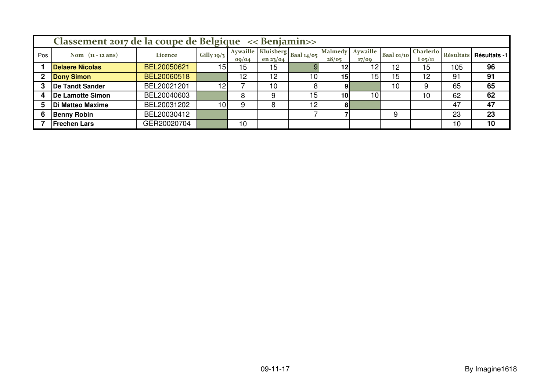|     | Classement 2017 de la coupe de Belgique << Benjamin>> |             |                 |                   |          |                                  |                         |                          |            |                               |     |                          |  |
|-----|-------------------------------------------------------|-------------|-----------------|-------------------|----------|----------------------------------|-------------------------|--------------------------|------------|-------------------------------|-----|--------------------------|--|
| Pos | Nom $(n - 12 \text{ ans})$                            | Licence     | Gilly $19/3$    | Aywaille<br>09/04 | en 23/04 | .c   Kluisberg   Baal 14/05   1v | <b>Malmedy</b><br>28/05 | <b>Aywaille</b><br>17/09 | Baal 01/10 | <b>Charlerlo</b><br>$i$ 05/11 |     | Résultats   Résultats -1 |  |
|     | <b>Delaere Nicolas</b>                                | BEL20050621 | 15I             | 15                | 15       |                                  | 12                      |                          | 12         | 15                            | 105 | 96                       |  |
|     | <b>Dony Simon</b>                                     | BEL20060518 |                 | 12                | 12       | 10 <sub>l</sub>                  | 15 <sub>1</sub>         | 15                       | .5         | 12                            | 91  | 91                       |  |
|     | <b>De Tandt Sander</b>                                | BEL20021201 | 12              |                   | 10       |                                  | 9                       |                          | 10         | 9                             | 65  | 65                       |  |
|     | De Lamotte Simon                                      | BEL20040603 |                 |                   | 9        | 15 <sub>1</sub>                  | 10 <sup>1</sup>         | 10                       |            | 10                            | 62  | 62                       |  |
|     | <b>Di Matteo Maxime</b>                               | BEL20031202 | 10 <sup>1</sup> |                   | 8        | 12 <sub>1</sub>                  | 81                      |                          |            |                               | 47  | 47                       |  |
| 6   | <b>Benny Robin</b>                                    | BEL20030412 |                 |                   |          |                                  |                         |                          |            |                               | 23  | 23                       |  |
|     | <b>Frechen Lars</b>                                   | GER20020704 |                 | 10                |          |                                  |                         |                          |            |                               | 10  | 10                       |  |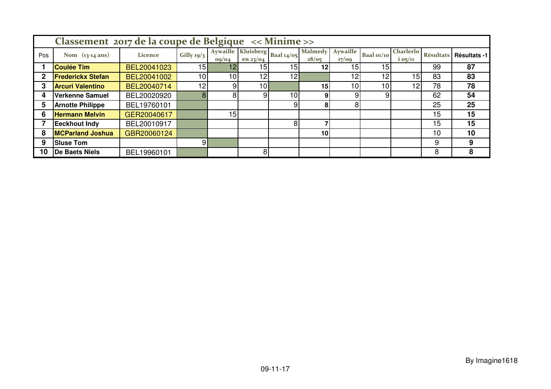|     | Classement 2017 de la coupe de Belgique << Minime >> |             |                 |       |                 |                                 |                         |                          |                 |                               |    |                          |  |  |
|-----|------------------------------------------------------|-------------|-----------------|-------|-----------------|---------------------------------|-------------------------|--------------------------|-----------------|-------------------------------|----|--------------------------|--|--|
| Pos | Nom $(13-14 \text{ ans})$                            | Licence     | Gilly $19/3$    | 09/04 | en $23$ /04     | Aywaille Kluisberg Baal $14/05$ | <b>Malmedy</b><br>28/05 | <b>Aywaille</b><br>17/09 | Baal 01/10      | <b>Charlerlo</b><br>$i$ 05/11 |    | Résultats   Résultats -1 |  |  |
|     | <b>Coulée Tim</b>                                    | BEL20041023 | 15 <sub>h</sub> | 12    | 15 <sub>1</sub> | 15 <sub>1</sub>                 | 12 <sub>l</sub>         | 15                       | 15 <sub>1</sub> |                               | 99 | 87                       |  |  |
|     | <b>Frederickx Stefan</b>                             | BEL20041002 | 10              | 10    | 12              | 12                              |                         | 12                       | 12              | 15 <sub>1</sub>               | 83 | 83                       |  |  |
|     | <b>Arcuri Valentino</b>                              | BEL20040714 | 12              | 9     | 10 <sup>1</sup> |                                 | 15 <sub>l</sub>         | 10                       | 10              | 12                            | 78 | 78                       |  |  |
|     | Verkenne Samuel                                      | BEL20020920 | 8               | 8     | 9               | 10                              | 9.                      |                          | 9               |                               | 62 | 54                       |  |  |
|     | <b>Arnotte Philippe</b>                              | BEL19760101 |                 |       |                 |                                 | 81                      | 8                        |                 |                               | 25 | 25                       |  |  |
| 6   | <b>Hermann Melvin</b>                                | GER20040617 |                 | 15    |                 |                                 |                         |                          |                 |                               | 15 | 15                       |  |  |
|     | <b>Eeckhout Indy</b>                                 | BEL20010917 |                 |       |                 | 8                               |                         |                          |                 |                               | 15 | 15                       |  |  |
| 8   | <b>MCParland Joshua</b>                              | GBR20060124 |                 |       |                 |                                 | 10 <sub>l</sub>         |                          |                 |                               | 10 | 10                       |  |  |
| 9   | <b>Sluse Tom</b>                                     |             | 91              |       |                 |                                 |                         |                          |                 |                               | 9  | 9                        |  |  |
| 10  | <b>De Baets Niels</b>                                | BEL19960101 |                 |       | 8               |                                 |                         |                          |                 |                               | 8  | 8                        |  |  |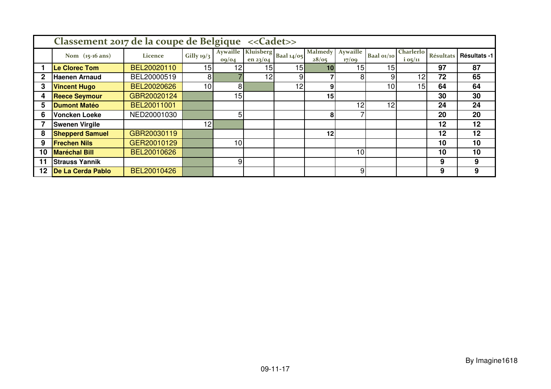|    | Classement 2017 de la coupe de Belgique << Cadet>> |             |                 |                                                  |                 |                 |                         |                   |            |                        |    |                          |  |  |
|----|----------------------------------------------------|-------------|-----------------|--------------------------------------------------|-----------------|-----------------|-------------------------|-------------------|------------|------------------------|----|--------------------------|--|--|
|    | Nom (15-16 ans)                                    | Licence     | Gilly $19/3$    | Aywaille   Kluisberg   Baal 14/05  <br>$o_9/o_4$ | en 23/04        |                 | <b>Malmedy</b><br>28/05 | Aywaille<br>17/09 | Baal 01/10 | Charlerlo<br>$i$ 05/11 |    | Résultats   Résultats -1 |  |  |
|    | Le Clorec Tom                                      | BEL20020110 | 15 <sup>1</sup> | 12                                               | 15 <sup>1</sup> | 15              | 10                      | 15 <sub>l</sub>   | 15         |                        | 97 | 87                       |  |  |
| 2  | <b>Haenen Arnaud</b>                               | BEL20000519 | 8 <sup>1</sup>  |                                                  | 12              | 9               |                         | 8                 | 9          | 12                     | 72 | 65                       |  |  |
| 3  | <b>Vincent Hugo</b>                                | BEL20020626 | 10              | 81                                               |                 | 12 <sub>1</sub> | 9                       |                   | 10         | 15 <sub>l</sub>        | 64 | 64                       |  |  |
| 4  | <b>Reece Seymour</b>                               | GBR20020124 |                 | 15 <sub>1</sub>                                  |                 |                 | 15                      |                   |            |                        | 30 | 30                       |  |  |
| 5  | <b>Dumont Matéo</b>                                | BEL20011001 |                 |                                                  |                 |                 |                         | 12                | 12         |                        | 24 | 24                       |  |  |
| 6  | <b>Voncken Loeke</b>                               | NED20001030 |                 | 5                                                |                 |                 | 8                       |                   |            |                        | 20 | 20                       |  |  |
|    | <b>Swenen Virgile</b>                              |             | 12 <sub>1</sub> |                                                  |                 |                 |                         |                   |            |                        | 12 | 12                       |  |  |
| 8  | <b>Shepperd Samuel</b>                             | GBR20030119 |                 |                                                  |                 |                 | 12                      |                   |            |                        | 12 | 12                       |  |  |
| 9  | <b>Frechen Nils</b>                                | GER20010129 |                 | 10                                               |                 |                 |                         |                   |            |                        | 10 | 10                       |  |  |
| 10 | <b>Maréchal Bill</b>                               | BEL20010626 |                 |                                                  |                 |                 |                         | 10 <sup>1</sup>   |            |                        | 10 | 10                       |  |  |
|    | <b>Strauss Yannik</b>                              |             |                 | 9                                                |                 |                 |                         |                   |            |                        | 9  | 9                        |  |  |
| 12 | De La Cerda Pablo                                  | BEL20010426 |                 |                                                  |                 |                 |                         | 9                 |            |                        | 9  | 9                        |  |  |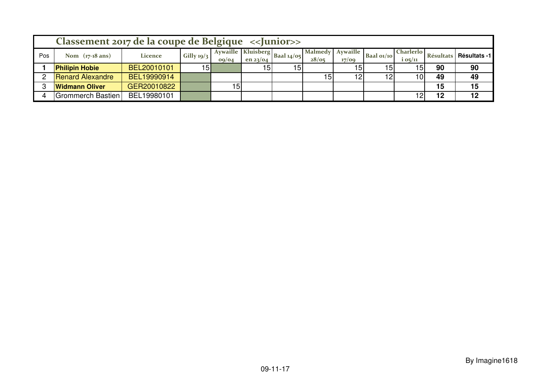|     | Classement 2017 de la coupe de Belgique <> Junior>> |             |                 |                   |                 |                             |                           |       |                 |                     |    |                        |  |
|-----|-----------------------------------------------------|-------------|-----------------|-------------------|-----------------|-----------------------------|---------------------------|-------|-----------------|---------------------|----|------------------------|--|
| Pos | Nom $(17-18 \text{ ans})$                           | Licence     | Gilly $19/3$    | Avwaille<br>09/04 | en 23/04        | ue   Kluisberg   Baal 14/05 | Malmedy Aywaille<br>28/05 | 17/09 | Baal $o1/10$    | Charlerlo<br>105/11 |    | Résultats Résultats -1 |  |
|     | <b>Philipin Hobie</b>                               | BEL20010101 | 15 <sub>h</sub> |                   | 15 <sub>l</sub> | 15                          |                           | 15    | 15 <sub>1</sub> | 15                  | 90 | 90                     |  |
|     | <b>Renard Alexandre</b>                             | BEL19990914 |                 |                   |                 |                             | 15 <sub>l</sub>           | 12    | 12              | 10                  | 49 | 49                     |  |
|     | <b>Widmann Oliver</b>                               | GER20010822 |                 | 5                 |                 |                             |                           |       |                 |                     | 15 | 15                     |  |
|     | <b>Grommerch Bastien</b>                            | BEL19980101 |                 |                   |                 |                             |                           |       |                 |                     | 12 | 12                     |  |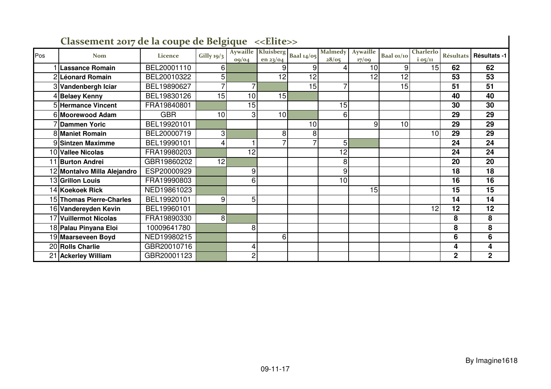|     | Classement 2017 de la coupe de Belgique < <elite>&gt;</elite> |             |              |                |                                              |    |                         |                          |            |                        |                |                          |  |  |
|-----|---------------------------------------------------------------|-------------|--------------|----------------|----------------------------------------------|----|-------------------------|--------------------------|------------|------------------------|----------------|--------------------------|--|--|
| Pos | <b>Nom</b>                                                    | Licence     | Gilly $19/3$ | oq/oq          | Aywaille Kluisberg Baal 14/05<br>en $23$ /04 |    | <b>Malmedy</b><br>28/05 | <b>Aywaille</b><br>17/09 | Baal 01/10 | Charlerlo<br>$i$ 05/11 |                | Résultats   Résultats -1 |  |  |
|     | Lassance Romain                                               | BEL20001110 | 6            |                |                                              | 9  |                         | 10                       | 9          | 15                     | 62             | 62                       |  |  |
|     | 2 Léonard Romain                                              | BEL20010322 | 5            |                | 12                                           | 12 |                         | 12                       | 12         |                        | 53             | 53                       |  |  |
|     | 3 Vandenbergh Iciar                                           | BEL19890627 | 7            | $\overline{7}$ |                                              | 15 | 7                       |                          | 15         |                        | 51             | 51                       |  |  |
|     | 4 Belaey Kenny                                                | BEL19830126 | 15           | 10             | 15                                           |    |                         |                          |            |                        | 40             | 40                       |  |  |
|     | 5 Hermance Vincent                                            | FRA19840801 |              | 15             |                                              |    | 15                      |                          |            |                        | 30             | 30                       |  |  |
|     | 6 Moorewood Adam                                              | <b>GBR</b>  | 10           | 3 <sub>l</sub> | 10                                           |    | 6                       |                          |            |                        | 29             | 29                       |  |  |
|     | 7 <b>Dammen Yoric</b>                                         | BEL19920101 |              |                |                                              | 10 |                         | 9                        | 10         |                        | 29             | 29                       |  |  |
|     | <b>8 Maniet Romain</b>                                        | BEL20000719 | 3            |                | 8                                            | 8  |                         |                          |            | 10                     | 29             | 29                       |  |  |
|     | 9 Sintzen Maximme                                             | BEL19990101 | 4            |                |                                              |    | 5                       |                          |            |                        | 24             | 24                       |  |  |
|     | 10 Vallee Nicolas                                             | FRA19980203 |              | 12             |                                              |    | 12                      |                          |            |                        | 24             | 24                       |  |  |
|     | 1 Burton Andrei                                               | GBR19860202 | 12           |                |                                              |    | 8                       |                          |            |                        | 20             | 20                       |  |  |
|     | 12 Montalvo Milla Alejandro                                   | ESP20000929 |              | 9              |                                              |    | 9                       |                          |            |                        | 18             | 18                       |  |  |
|     | 13 Grillon Louis                                              | FRA19990803 |              | 6              |                                              |    | 10                      |                          |            |                        | 16             | 16                       |  |  |
|     | 14 Koekoek Rick                                               | NED19861023 |              |                |                                              |    |                         | 15                       |            |                        | 15             | 15                       |  |  |
|     | 15 Thomas Pierre-Charles                                      | BEL19920101 | 9            | 5              |                                              |    |                         |                          |            |                        | 14             | 14                       |  |  |
|     | 16 Vandereyden Kevin                                          | BEL19960101 |              |                |                                              |    |                         |                          |            | 12                     | 12             | 12                       |  |  |
|     | 17 Vuillermot Nicolas                                         | FRA19890330 | 8            |                |                                              |    |                         |                          |            |                        | 8              | 8                        |  |  |
|     | 18 Palau Pinyana Eloi                                         | 10009641780 |              | 8              |                                              |    |                         |                          |            |                        | 8              | 8                        |  |  |
|     | 19 Maarseveen Boyd                                            | NED19980215 |              |                | 6                                            |    |                         |                          |            |                        | 6              | 6                        |  |  |
|     | 20 Rolls Charlie                                              | GBR20010716 |              | 4              |                                              |    |                         |                          |            |                        | 4              | 4                        |  |  |
|     | 21 Ackerley William                                           | GBR20001123 |              | $\overline{c}$ |                                              |    |                         |                          |            |                        | $\overline{2}$ | $\mathbf{2}$             |  |  |

## **Classement 2017 de la coupe de Belgique <<Elite>>**